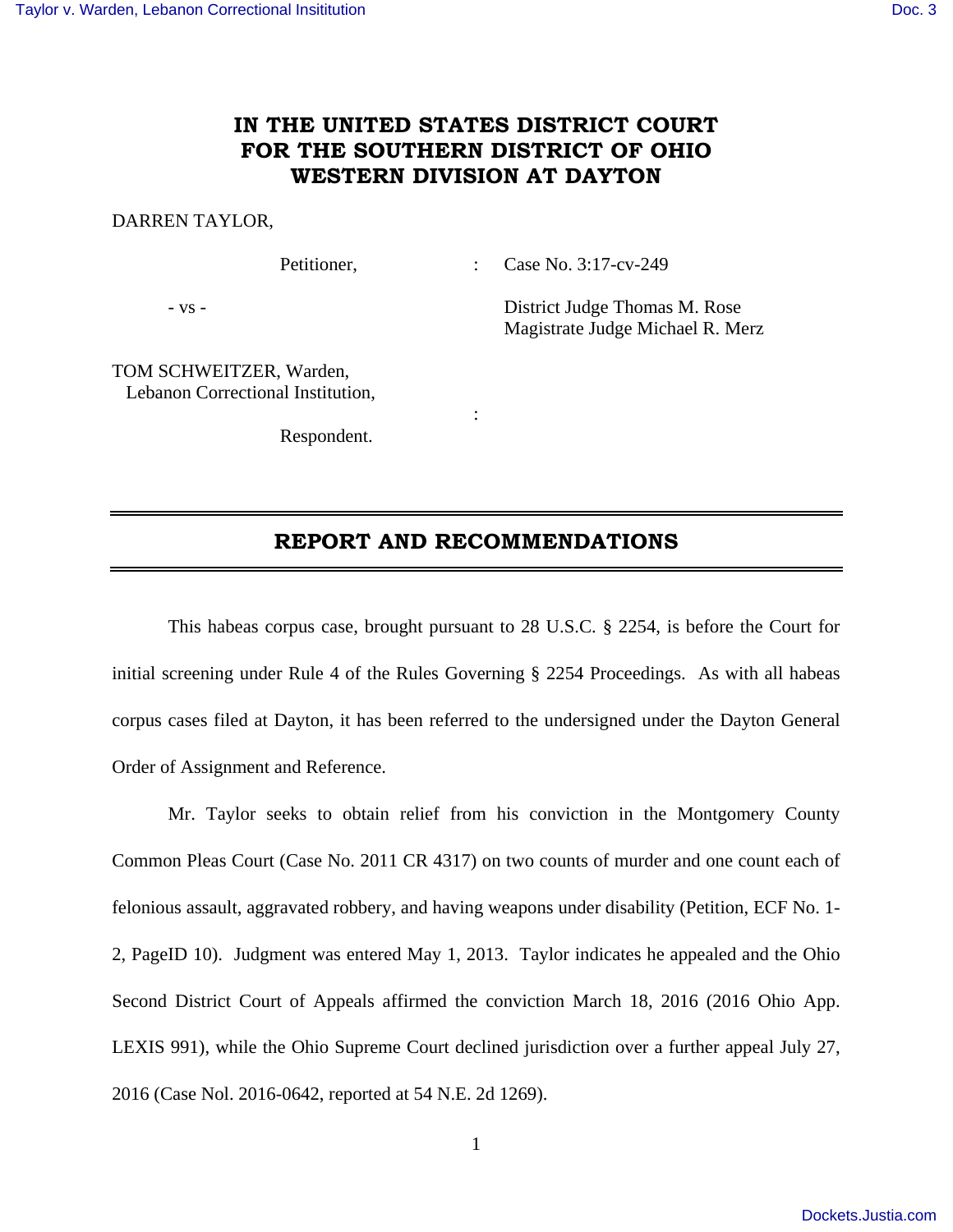## **IN THE UNITED STATES DISTRICT COURT FOR THE SOUTHERN DISTRICT OF OHIO WESTERN DIVISION AT DAYTON**

#### DARREN TAYLOR,

Petitioner, : Case No. 3:17-cv-249

- vs - District Judge Thomas M. Rose Magistrate Judge Michael R. Merz

TOM SCHWEITZER, Warden, Lebanon Correctional Institution,

Respondent.

**Service State State State** 

### **REPORT AND RECOMMENDATIONS**

 This habeas corpus case, brought pursuant to 28 U.S.C. § 2254, is before the Court for initial screening under Rule 4 of the Rules Governing § 2254 Proceedings. As with all habeas corpus cases filed at Dayton, it has been referred to the undersigned under the Dayton General Order of Assignment and Reference.

 Mr. Taylor seeks to obtain relief from his conviction in the Montgomery County Common Pleas Court (Case No. 2011 CR 4317) on two counts of murder and one count each of felonious assault, aggravated robbery, and having weapons under disability (Petition, ECF No. 1- 2, PageID 10). Judgment was entered May 1, 2013. Taylor indicates he appealed and the Ohio Second District Court of Appeals affirmed the conviction March 18, 2016 (2016 Ohio App. LEXIS 991), while the Ohio Supreme Court declined jurisdiction over a further appeal July 27, 2016 (Case Nol. 2016-0642, reported at 54 N.E. 2d 1269).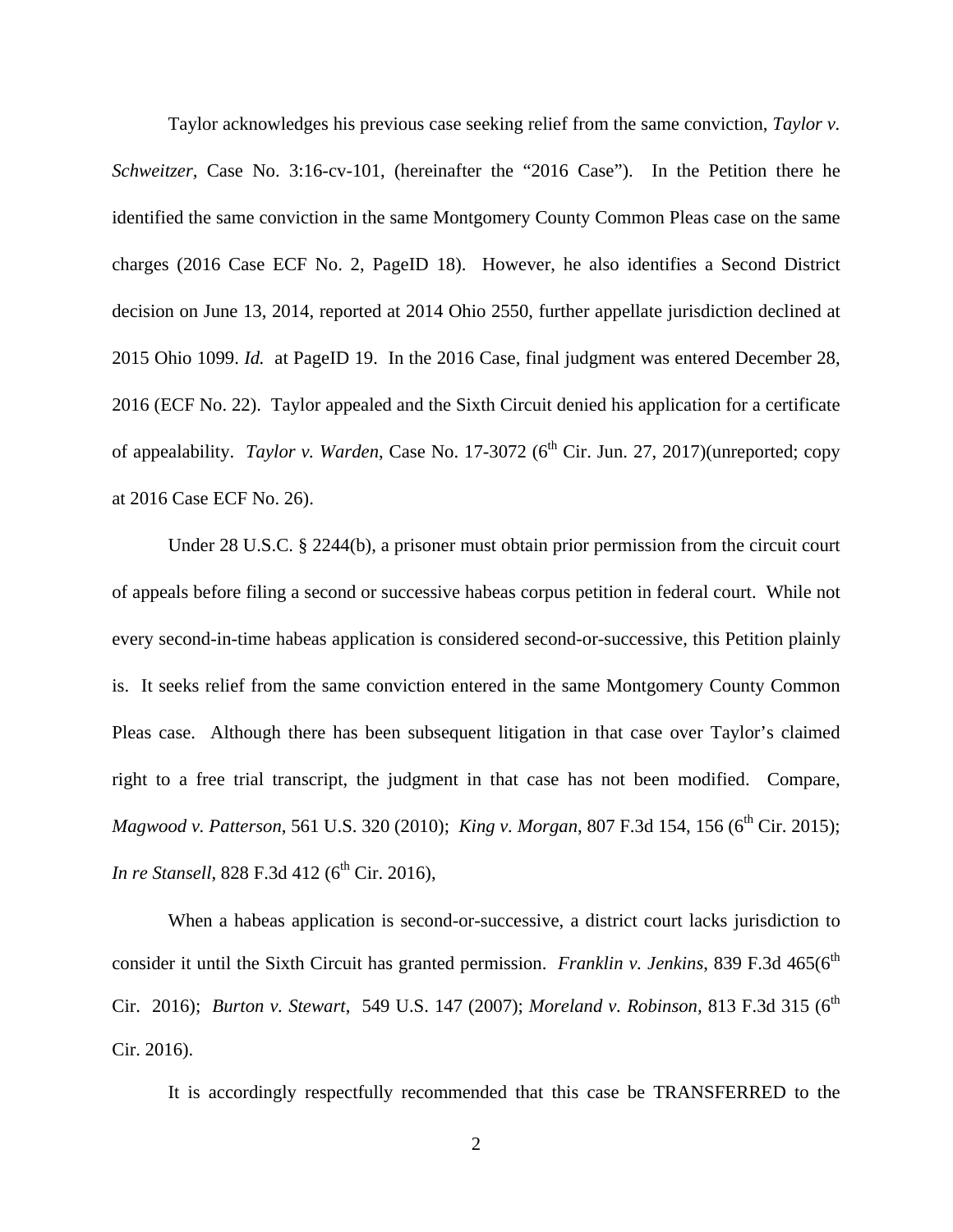Taylor acknowledges his previous case seeking relief from the same conviction, *Taylor v. Schweitzer,* Case No. 3:16-cv-101, (hereinafter the "2016 Case"). In the Petition there he identified the same conviction in the same Montgomery County Common Pleas case on the same charges (2016 Case ECF No. 2, PageID 18). However, he also identifies a Second District decision on June 13, 2014, reported at 2014 Ohio 2550, further appellate jurisdiction declined at 2015 Ohio 1099. *Id.* at PageID 19. In the 2016 Case, final judgment was entered December 28, 2016 (ECF No. 22). Taylor appealed and the Sixth Circuit denied his application for a certificate of appealability. *Taylor v. Warden*, Case No. 17-3072 (6<sup>th</sup> Cir. Jun. 27, 2017)(unreported; copy at 2016 Case ECF No. 26).

 Under 28 U.S.C. § 2244(b), a prisoner must obtain prior permission from the circuit court of appeals before filing a second or successive habeas corpus petition in federal court. While not every second-in-time habeas application is considered second-or-successive, this Petition plainly is. It seeks relief from the same conviction entered in the same Montgomery County Common Pleas case. Although there has been subsequent litigation in that case over Taylor's claimed right to a free trial transcript, the judgment in that case has not been modified. Compare, *Magwood v. Patterson*, 561 U.S. 320 (2010); *King v. Morgan*, 807 F.3d 154, 156 (6<sup>th</sup> Cir. 2015); *In re Stansell*, 828 F.3d 412 (6<sup>th</sup> Cir. 2016),

 When a habeas application is second-or-successive, a district court lacks jurisdiction to consider it until the Sixth Circuit has granted permission. *Franklin v. Jenkins*, 839 F.3d 465(6<sup>th</sup> Cir. 2016); *Burton v. Stewart*, 549 U.S. 147 (2007); *Moreland v. Robinson*, 813 F.3d 315 (6<sup>th</sup> Cir. 2016).

It is accordingly respectfully recommended that this case be TRANSFERRED to the